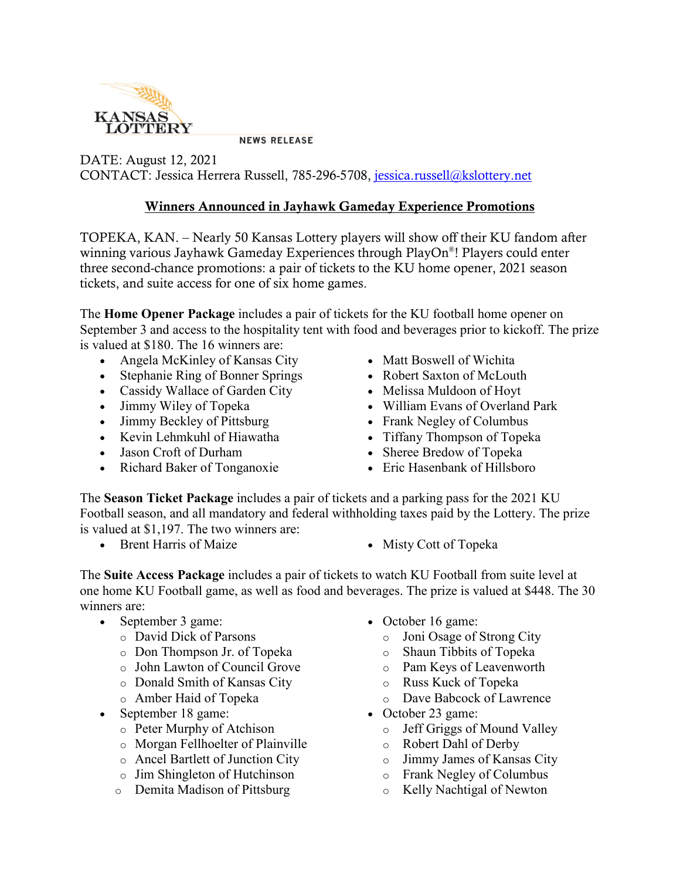

**NEWS RELEASE** 

DATE: August 12, 2021 CONTACT: Jessica Herrera Russell, 785-296-5708, [jessica.russell@kslottery.net](mailto:jessica.russell@kslottery.net)

## Winners Announced in Jayhawk Gameday Experience Promotions

TOPEKA, KAN. – Nearly 50 Kansas Lottery players will show off their KU fandom after winning various Jayhawk Gameday Experiences through PlayOn®! Players could enter three second-chance promotions: a pair of tickets to the KU home opener, 2021 season tickets, and suite access for one of six home games.

The **Home Opener Package** includes a pair of tickets for the KU football home opener on September 3 and access to the hospitality tent with food and beverages prior to kickoff. The prize is valued at \$180. The 16 winners are:

- Angela McKinley of Kansas City
- Stephanie Ring of Bonner Springs
- Cassidy Wallace of Garden City
- Jimmy Wiley of Topeka
- Jimmy Beckley of Pittsburg
- Kevin Lehmkuhl of Hiawatha
- Jason Croft of Durham
- Richard Baker of Tonganoxie
- Matt Boswell of Wichita
- Robert Saxton of McLouth
- Melissa Muldoon of Hoyt
- William Evans of Overland Park
- Frank Negley of Columbus
- Tiffany Thompson of Topeka
- Sheree Bredow of Topeka
- Eric Hasenbank of Hillsboro

The **Season Ticket Package** includes a pair of tickets and a parking pass for the 2021 KU Football season, and all mandatory and federal withholding taxes paid by the Lottery. The prize is valued at \$1,197. The two winners are:

- Brent Harris of Maize Misty Cott of Topeka
- 

The **Suite Access Package** includes a pair of tickets to watch KU Football from suite level at one home KU Football game, as well as food and beverages. The prize is valued at \$448. The 30 winners are:

- September 3 game:
	- o David Dick of Parsons
	- o Don Thompson Jr. of Topeka
	- o John Lawton of Council Grove
	- o Donald Smith of Kansas City
	- o Amber Haid of Topeka
- September 18 game:
	- o Peter Murphy of Atchison
	- o Morgan Fellhoelter of Plainville
	- o Ancel Bartlett of Junction City
	- o Jim Shingleton of Hutchinson
	- o Demita Madison of Pittsburg
- October 16 game:
	- o Joni Osage of Strong City
	- o Shaun Tibbits of Topeka
	- o Pam Keys of Leavenworth
	- o Russ Kuck of Topeka
	- o Dave Babcock of Lawrence
- October 23 game:
	- o Jeff Griggs of Mound Valley
	- o Robert Dahl of Derby
	- o Jimmy James of Kansas City
	- o Frank Negley of Columbus
	- o Kelly Nachtigal of Newton